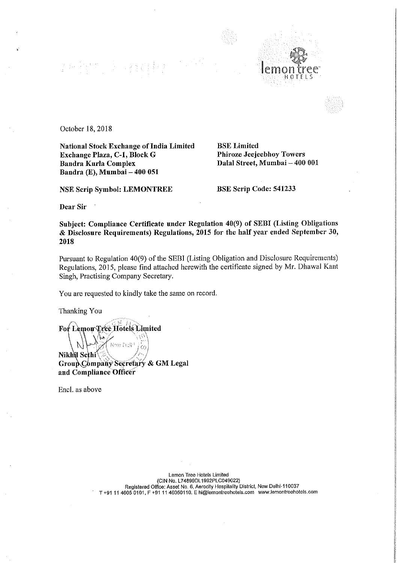## 2回警机员 推理控



October 18, 2018

National Stock Exchange of India Limited<br>
Exchange Plaza, C-1, Block G<br>
Phiroze Jeejeebhoy Towers Exchange Plaza, C-1, Block G Bandra Kurla Complex Bandra (E), Mumbai — 400 051

Dalal Street, Mumbai - 400 001

NSE Scrip Symbol: LEMONTREE BSE Scrip Code: 541233

Dear Sir

Subject: Compliance Certificate under Regulation 40(9) of SEBI (Listing Obligations & Disclosure Requirements) Regulations, <sup>2015</sup> for the half year ended September 30, 2018

Pursuant to Regulation 40(9) of the SEBI (Listing Obligation and Disclosure Requirements) Regulations, 2015, please find attached herewith the certificate signed by Mr. Dhawal Kant Singh, Practising Company Secretary.

You are requested to kindly take the same on record.

Thanking You

For Lemon Tree Hotels Limited Now Doth .<br>M Nikhil Sethi I Group Company Secretary & GM Legal and Compliance Officer

Encl. as above